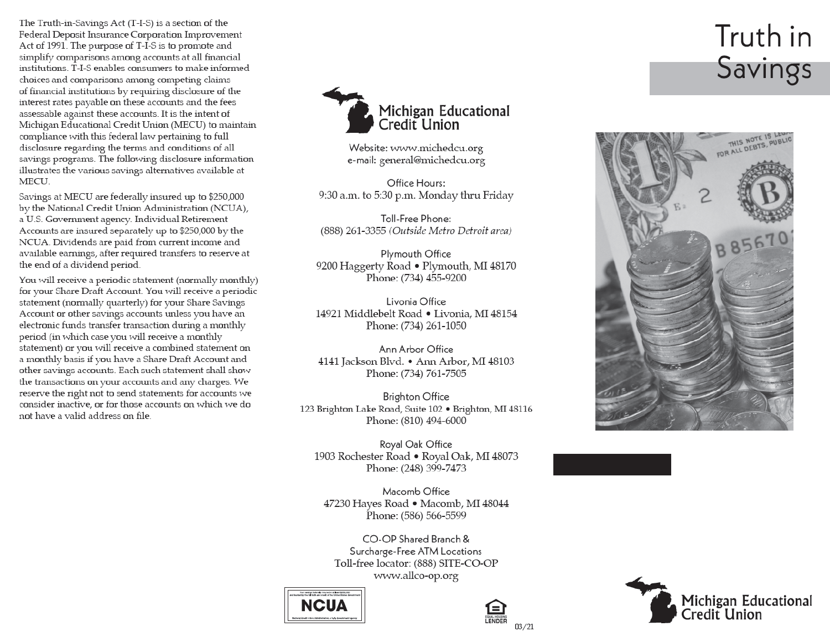The Truth-in-Savings Act (T-I-S) is a section of the Federal Deposit Insurance Corporation Improvement Act of 1991. The purpose of T-I-S is to promote and simplify comparisons among accounts at all financial institutions. T-I-S enables consumers to make informed choices and comparisons among competing claims of financial institutions by requiring disclosure of the interest rates payable on these accounts and the fees assessable against these accounts. It is the intent of Michigan Educational Credit Union (MECU) to maintain compliance with this federal law pertaining to full disclosure regarding the terms and conditions of all savings programs. The following disclosure information illustrates the various savings alternatives available at MECU.

Savings at MECU are federally insured up to \$250,000 by the National Credit Union Administration (NCUA), a U.S. Government agency. Individual Retirement Accounts are insured separately up to \$250,000 by the NCUA. Dividends are paid from current income and available earnings, after required transfers to reserve at the end of a dividend period.

You will receive a periodic statement (normally monthly) for your Share Draft Account. You will receive a periodic statement (normally quarterly) for your Share Savings Account or other savings accounts unless you have an electronic funds transfer transaction during a monthly period (in which case you will receive a monthly statement) or you will receive a combined statement on a monthly basis if you have a Share Draft Account and other savings accounts. Each such statement shall show the transactions on your accounts and any charges. We reserve the right not to send statements for accounts we consider inactive, or for those accounts on which we do not have a valid address on file



Website: www.michedcu.org e-mail: general@michedcu.org

Office Hours: 9:30 a.m. to 5:30 p.m. Monday thru Friday

Toll-Free Phone: (888) 261-3355 (Outside Metro Detroit area)

Plymouth Office 9200 Haggerty Road . Plymouth, MI 48170 Phone: (734) 455-9200

Livonia Office 14921 Middlebelt Road • Livonia, MI 48154 Phone: (734) 261-1050

Ann Arbor Office 4141 Jackson Blvd. • Ann Arbor, MI 48103 Phone: (734) 761-7505

**Brighton Office** 123 Brighton Lake Road, Suite 102 · Brighton, MI 48116 Phone: (810) 494-6000

Royal Oak Office 1903 Rochester Road • Royal Oak, MI 48073 Phone: (248) 399-7473

Macomb Office 47230 Hayes Road • Macomb, MI 48044 Phone: (586) 566-5599

CO-OP Shared Branch & Surcharge-Free ATM Locations Toll-free locator: (888) SITE-CO-OP www.allco-op.org





## Truth in Savings